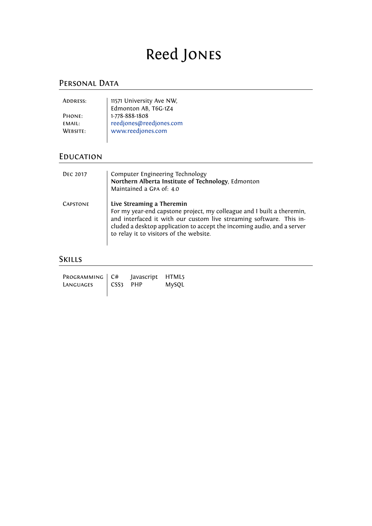# Reed Jones

### PERSONAL DATA

| ADDRESS:      | 11571 University Ave NW,<br>Edmonton AB, T6G-1Z4<br>1-778-888-1808<br>reedjones@reedjones.com |
|---------------|-----------------------------------------------------------------------------------------------|
|               |                                                                                               |
| PHONE:        |                                                                                               |
| <b>EMAIL:</b> |                                                                                               |
| WEBSITE:      | www.reedjones.com                                                                             |
|               |                                                                                               |

### **EDUCATION**

| <b>DEC 2017</b> | Computer Engineering Technology<br>Northern Alberta Institute of Technology, Edmonton<br>Maintained a GPA of: 4.0                                                                                                                                                                                |
|-----------------|--------------------------------------------------------------------------------------------------------------------------------------------------------------------------------------------------------------------------------------------------------------------------------------------------|
| <b>CAPSTONE</b> | Live Streaming a Theremin<br>For my year-end capstone project, my colleague and I built a theremin,<br>and interfaced it with our custom live streaming software. This in-<br>cluded a desktop application to accept the incoming audio, and a server<br>to relay it to visitors of the website. |

### Skills

| PROGRAMMING   C#     | Javascript HTML5 |       |
|----------------------|------------------|-------|
| LANGUAGES   CSS3 PHP |                  | MySQL |
|                      |                  |       |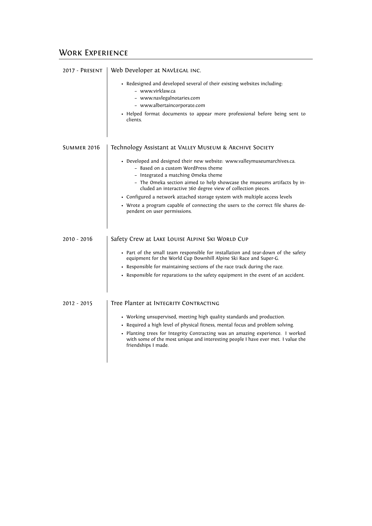#### WORK EXPERIENCE

| 2017 - PRESENT     | Web Developer at NAVLEGAL INC.                                                                                                                                                            |
|--------------------|-------------------------------------------------------------------------------------------------------------------------------------------------------------------------------------------|
|                    | • Redesigned and developed several of their existing websites including.<br>- www.virklaw.ca<br>- www.navlegalnotaries.com<br>- www.albertaincorporate.com                                |
|                    | • Helped format documents to appear more professional before being sent to<br>clients.                                                                                                    |
| <b>SUMMER 2016</b> | Technology Assistant at VALLEY MUSEUM & ARCHIVE SOCIETY                                                                                                                                   |
|                    | • Developed and designed their new website: www.valleymuseumarchives.ca.<br>- Based on a custom WordPress theme<br>- Integrated a matching Omeka theme                                    |
|                    | - The Omeka section aimed to help showcase the museums artifacts by in-<br>cluded an interactive 360 degree view of collection pieces.                                                    |
|                    | • Configured a network attached storage system with multiple access levels                                                                                                                |
|                    | • Wrote a program capable of connecting the users to the correct file shares de-<br>pendent on user permissions.                                                                          |
| $2010 - 2016$      | Safety Crew at LAKE LOUISE ALPINE SKI WORLD CUP                                                                                                                                           |
|                    | • Part of the small team responsible for installation and tear-down of the safety<br>equipment for the World Cup Downhill Alpine Ski Race and Super-G.                                    |
|                    | • Responsible for maintaining sections of the race track during the race.                                                                                                                 |
|                    | • Responsible for reparations to the safety equipment in the event of an accident.                                                                                                        |
| 2012 - 2015        | Tree Planter at INTEGRITY CONTRACTING                                                                                                                                                     |
|                    | • Working unsupervised, meeting high quality standards and production.<br>• Required a high level of physical fitness, mental focus and problem solving.                                  |
|                    | • Planting trees for Integrity Contracting was an amazing experience. I worked<br>with some of the most unique and interesting people I have ever met. I value the<br>friendships I made. |
|                    |                                                                                                                                                                                           |